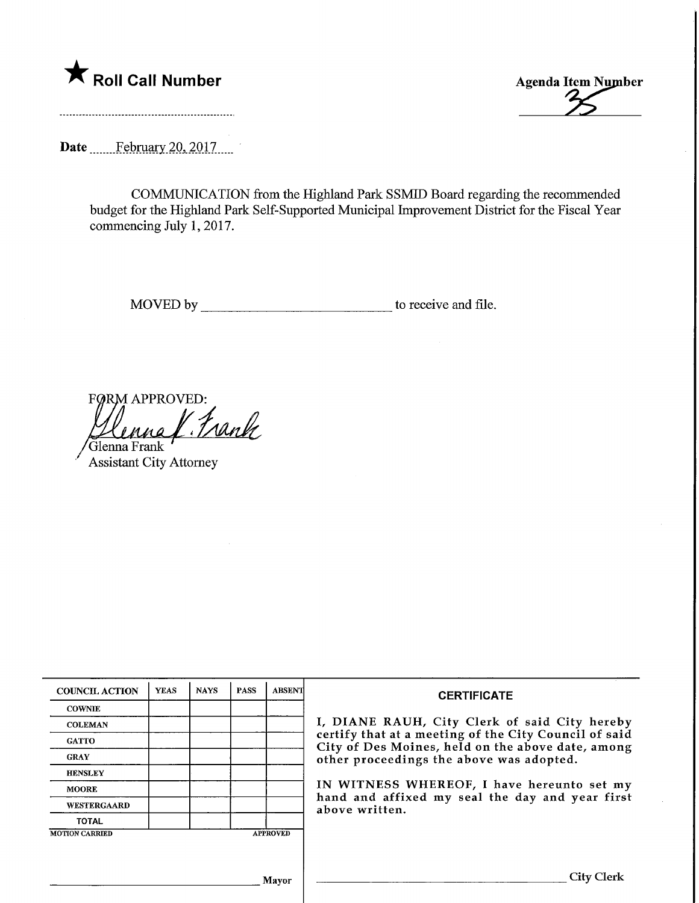



Date ...........February. 20, 2017......

COMMUNICATION from the Highland Park SSMID Board regarding the recommended budget for the Highland Park Self-Supported Municipal Improvement District for the Fiscal Year commencing July 1, 2017.

MOVED by. to receive and file.

FØRM APPROVED: Trank 'Glenna Frank

Assistant City Attorney

| <b>COUNCIL ACTION</b> | <b>YEAS</b> | <b>NAYS</b> | <b>PASS</b> | <b>ABSENT</b>   | <b>CERTIFICATE</b>                                                                                                                                                                                      |  |  |
|-----------------------|-------------|-------------|-------------|-----------------|---------------------------------------------------------------------------------------------------------------------------------------------------------------------------------------------------------|--|--|
| <b>COWNIE</b>         |             |             |             |                 | I, DIANE RAUH, City Clerk of said City hereby<br>certify that at a meeting of the City Council of said<br>City of Des Moines, held on the above date, among<br>other proceedings the above was adopted. |  |  |
| <b>COLEMAN</b>        |             |             |             |                 |                                                                                                                                                                                                         |  |  |
| <b>GATTO</b>          |             |             |             |                 |                                                                                                                                                                                                         |  |  |
| <b>GRAY</b>           |             |             |             |                 |                                                                                                                                                                                                         |  |  |
| <b>HENSLEY</b>        |             |             |             |                 |                                                                                                                                                                                                         |  |  |
| <b>MOORE</b>          |             |             |             |                 | IN WITNESS WHEREOF, I have hereunto set my<br>hand and affixed my seal the day and year first<br>above written.                                                                                         |  |  |
| <b>WESTERGAARD</b>    |             |             |             |                 |                                                                                                                                                                                                         |  |  |
| <b>TOTAL</b>          |             |             |             |                 |                                                                                                                                                                                                         |  |  |
| <b>MOTION CARRIED</b> |             |             |             | <b>APPROVED</b> |                                                                                                                                                                                                         |  |  |
|                       |             |             |             |                 |                                                                                                                                                                                                         |  |  |
|                       |             |             |             |                 |                                                                                                                                                                                                         |  |  |
| Mayor                 |             |             |             |                 | City Clerl                                                                                                                                                                                              |  |  |